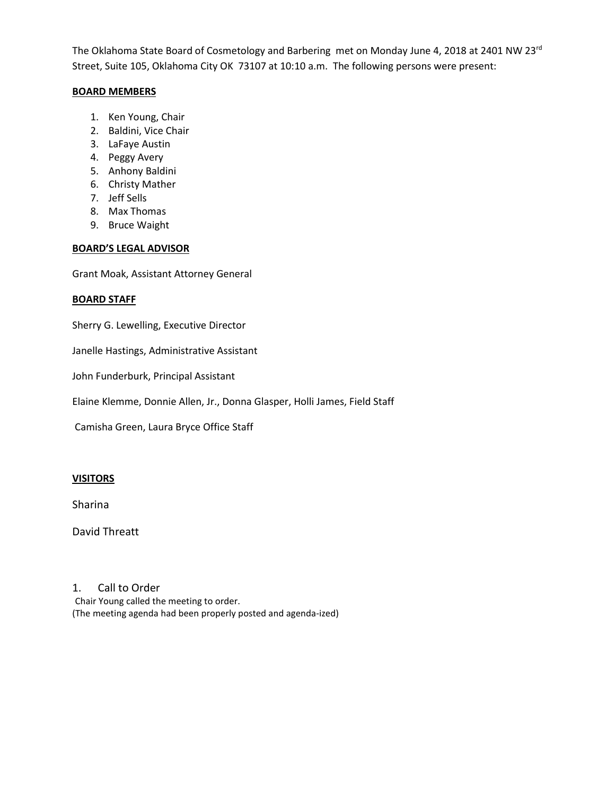The Oklahoma State Board of Cosmetology and Barbering met on Monday June 4, 2018 at 2401 NW 23<sup>rd</sup> Street, Suite 105, Oklahoma City OK 73107 at 10:10 a.m. The following persons were present:

### **BOARD MEMBERS**

- 1. Ken Young, Chair
- 2. Baldini, Vice Chair
- 3. LaFaye Austin
- 4. Peggy Avery
- 5. Anhony Baldini
- 6. Christy Mather
- 7. Jeff Sells
- 8. Max Thomas
- 9. Bruce Waight

# **BOARD'S LEGAL ADVISOR**

Grant Moak, Assistant Attorney General

# **BOARD STAFF**

Sherry G. Lewelling, Executive Director

Janelle Hastings, Administrative Assistant

John Funderburk, Principal Assistant

Elaine Klemme, Donnie Allen, Jr., Donna Glasper, Holli James, Field Staff

Camisha Green, Laura Bryce Office Staff

# **VISITORS**

Sharina

David Threatt

# 1. Call to Order

Chair Young called the meeting to order. (The meeting agenda had been properly posted and agenda-ized)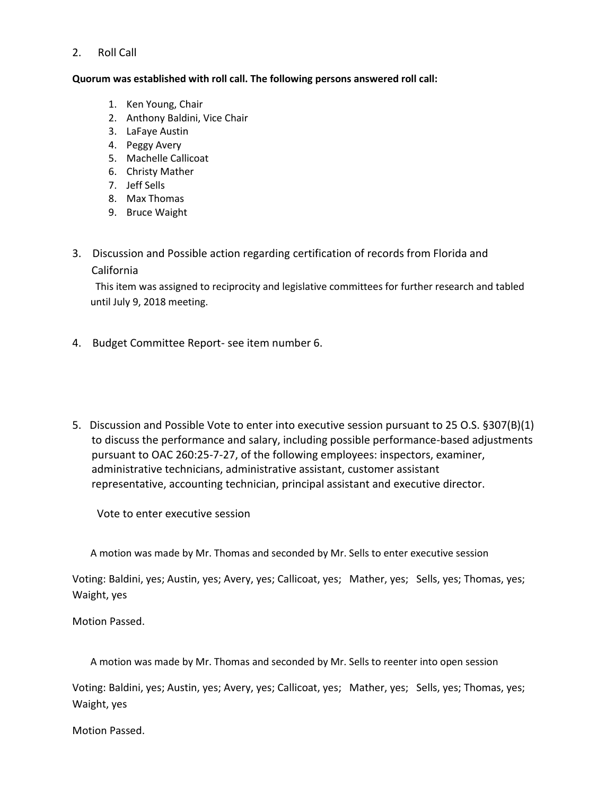# 2. Roll Call

### **Quorum was established with roll call. The following persons answered roll call:**

- 1. Ken Young, Chair
- 2. Anthony Baldini, Vice Chair
- 3. LaFaye Austin
- 4. Peggy Avery
- 5. Machelle Callicoat
- 6. Christy Mather
- 7. Jeff Sells
- 8. Max Thomas
- 9. Bruce Waight
- 3. Discussion and Possible action regarding certification of records from Florida and California

 This item was assigned to reciprocity and legislative committees for further research and tabled until July 9, 2018 meeting.

- 4. Budget Committee Report- see item number 6.
- 5. Discussion and Possible Vote to enter into executive session pursuant to 25 O.S. §307(B)(1) to discuss the performance and salary, including possible performance-based adjustments pursuant to OAC 260:25-7-27, of the following employees: inspectors, examiner, administrative technicians, administrative assistant, customer assistant representative, accounting technician, principal assistant and executive director.

Vote to enter executive session

A motion was made by Mr. Thomas and seconded by Mr. Sells to enter executive session

Voting: Baldini, yes; Austin, yes; Avery, yes; Callicoat, yes; Mather, yes; Sells, yes; Thomas, yes; Waight, yes

Motion Passed.

A motion was made by Mr. Thomas and seconded by Mr. Sells to reenter into open session

Voting: Baldini, yes; Austin, yes; Avery, yes; Callicoat, yes; Mather, yes; Sells, yes; Thomas, yes; Waight, yes

Motion Passed.